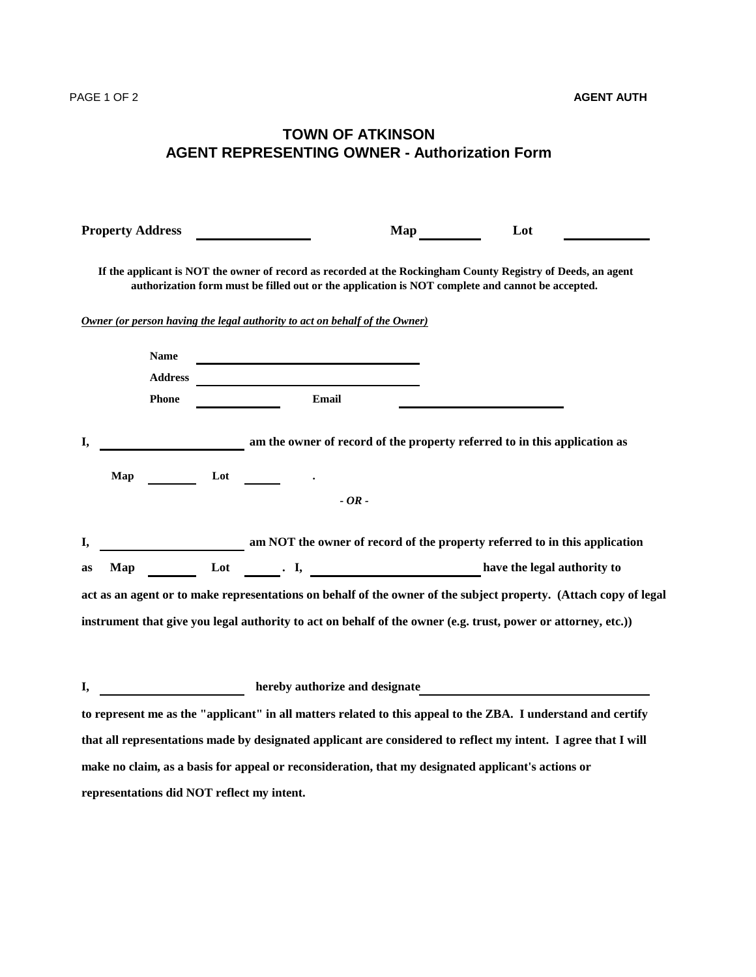## **TOWN OF ATKINSON AGENT REPRESENTING OWNER - Authorization Form**

| <b>Property Address</b>                                                                                                                                                                                                           |                                                                                                                                                                                                                                           | <b>Map</b> | Lot                                                                                                                                                                                                              |  |
|-----------------------------------------------------------------------------------------------------------------------------------------------------------------------------------------------------------------------------------|-------------------------------------------------------------------------------------------------------------------------------------------------------------------------------------------------------------------------------------------|------------|------------------------------------------------------------------------------------------------------------------------------------------------------------------------------------------------------------------|--|
|                                                                                                                                                                                                                                   |                                                                                                                                                                                                                                           |            | If the applicant is NOT the owner of record as recorded at the Rockingham County Registry of Deeds, an agent<br>authorization form must be filled out or the application is NOT complete and cannot be accepted. |  |
| Owner (or person having the legal authority to act on behalf of the Owner)                                                                                                                                                        |                                                                                                                                                                                                                                           |            |                                                                                                                                                                                                                  |  |
| <b>Name</b><br><b>Address</b>                                                                                                                                                                                                     |                                                                                                                                                                                                                                           |            |                                                                                                                                                                                                                  |  |
| <b>Phone</b>                                                                                                                                                                                                                      | Email                                                                                                                                                                                                                                     |            |                                                                                                                                                                                                                  |  |
| I,                                                                                                                                                                                                                                |                                                                                                                                                                                                                                           |            | am the owner of record of the property referred to in this application as                                                                                                                                        |  |
| Map                                                                                                                                                                                                                               | Lot the contract of the contract of the contract of the contract of the contract of the contract of the contract of the contract of the contract of the contract of the contract of the contract of the contract of the contra<br>$-OR -$ |            |                                                                                                                                                                                                                  |  |
| I,                                                                                                                                                                                                                                |                                                                                                                                                                                                                                           |            | am NOT the owner of record of the property referred to in this application                                                                                                                                       |  |
| as                                                                                                                                                                                                                                |                                                                                                                                                                                                                                           |            | Map Lot Li, Branch Map have the legal authority to                                                                                                                                                               |  |
| act as an agent or to make representations on behalf of the owner of the subject property. (Attach copy of legal<br>instrument that give you legal authority to act on behalf of the owner (e.g. trust, power or attorney, etc.)) |                                                                                                                                                                                                                                           |            |                                                                                                                                                                                                                  |  |
|                                                                                                                                                                                                                                   |                                                                                                                                                                                                                                           |            | <b>Example 2018</b> hereby authorize and designate                                                                                                                                                               |  |
|                                                                                                                                                                                                                                   |                                                                                                                                                                                                                                           |            | to represent me as the "applicant" in all matters related to this appeal to the ZBA. I understand and certify                                                                                                    |  |
|                                                                                                                                                                                                                                   |                                                                                                                                                                                                                                           |            | that all representations made by designated applicant are considered to reflect my intent. I agree that I will                                                                                                   |  |
| make no claim, as a basis for appeal or reconsideration, that my designated applicant's actions or                                                                                                                                |                                                                                                                                                                                                                                           |            |                                                                                                                                                                                                                  |  |
| representations did NOT reflect my intent.                                                                                                                                                                                        |                                                                                                                                                                                                                                           |            |                                                                                                                                                                                                                  |  |